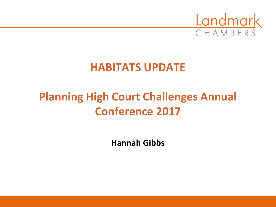

#### **HABITATS UPDATE**

## **Planning High Court Challenges Annual Conference 2017**

**Hannah Gibbs**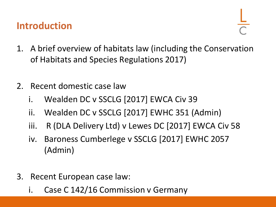#### **Introduction**

- 1. A brief overview of habitats law (including the Conservation of Habitats and Species Regulations 2017)
- 2. Recent domestic case law
	- i. Wealden DC v SSCLG [2017] EWCA Civ 39
	- ii. Wealden DC v SSCLG [2017] EWHC 351 (Admin)
	- iii. R (DLA Delivery Ltd) v Lewes DC [2017] EWCA Civ 58
	- iv. Baroness Cumberlege v SSCLG [2017] EWHC 2057 (Admin)
- 3. Recent European case law:
	- i. Case C 142/16 Commission v Germany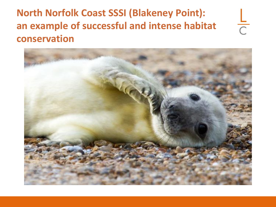#### **North Norfolk Coast SSSI (Blakeney Point): an example of successful and intense habitat conservation**



 $\frac{1}{C}$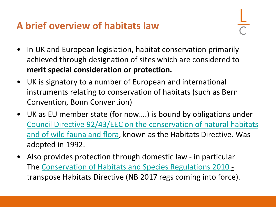#### **A brief overview of habitats law**

- In UK and European legislation, habitat conservation primarily achieved through designation of sites which are considered to **merit special consideration or protection.**
- UK is signatory to a number of European and international instruments relating to conservation of habitats (such as Bern Convention, Bonn Convention)
- UK as EU member state (for now….) is bound by obligations under [Council Directive 92/43/EEC on the conservation of natural habitats](http://eur-lex.europa.eu/LexUriServ/LexUriServ.do?uri=CELEX:31992L0043:EN:HTML) and of wild fauna and flora, known as the Habitats Directive. Was adopted in 1992.
- Also provides protection through domestic law in particular The [Conservation of Habitats and Species Regulations 2010](http://www.legislation.gov.uk/uksi/2010/490/contents/made) transpose Habitats Directive (NB 2017 regs coming into force).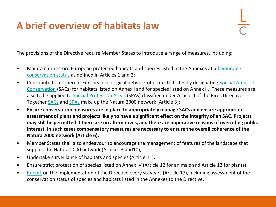#### **A brief overview of habitats law**

The provisions of the Directive require Member States to introduce a range of measures, including:

- [Maintain or restore European protected habitats and species listed in the Annexes at a](http://jncc.defra.gov.uk/page-4060) favourable conservation status as defined in Articles 1 and 2;
- [Contribute to a coherent European ecological network of protected sites by designating](http://jncc.defra.gov.uk/page-23) Special Areas of Conservation (SACs) for habitats listed on Annex I and for species listed on Annex II. These measures are also to be applied to [Special Protection Areas](http://jncc.defra.gov.uk/page-162) (SPAs) classified under Article 4 of the Birds Directive. Together [SACs](http://jncc.defra.gov.uk/page-23) and [SPAs](http://jncc.defra.gov.uk/page-162) make up the Natura 2000 network (Article 3);
- **Ensure conservation measures are in place to appropriately manage SACs and ensure appropriate assessment of plans and projects likely to have a significant effect on the integrity of an SAC. Projects may still be permitted if there are no alternatives, and there are imperative reasons of overriding public interest. In such cases compensatory measures are necessary to ensure the overall coherence of the Natura 2000 network (Article 6);**
- Member States shall also endeavour to encourage the management of features of the landscape that support the Natura 2000 network (Articles 3 and10);
- Undertake surveillance of habitats and species (Article 11),
- Ensure strict protection of species listed on Annex IV (Article 12 for animals and Article 13 for plants).
- [Report](http://jncc.defra.gov.uk/page-6397) on the implementation of the Directive every six years (Article 17), including assessment of the conservation status of species and habitats listed in the Annexes to the Directive.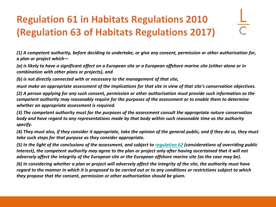## **Regulation 61 in Habitats Regulations 2010 (Regulation 63 of Habitats Regulations 2017)**

*(1) A competent authority, before deciding to undertake, or give any consent, permission or other authorisation for, a plan or project which—*

*(a) is likely to have a significant effect on a European site or a European offshore marine site (either alone or in combination with other plans or projects), and*

*(b) is not directly connected with or necessary to the management of that site,*

*must make an appropriate assessment of the implications for that site in view of that site's conservation objectives.*

*(2) A person applying for any such consent, permission or other authorisation must provide such information as the competent authority may reasonably require for the purposes of the assessment or to enable them to determine whether an appropriate assessment is required.*

*(3) The competent authority must for the purposes of the assessment consult the appropriate nature conservation body and have regard to any representations made by that body within such reasonable time as the authority specify.*

*(4) They must also, if they consider it appropriate, take the opinion of the general public, and if they do so, they must take such steps for that purpose as they consider appropriate.*

*(5) In the light of the conclusions of the assessment, and subject to [regulation 62](https://login.westlaw.co.uk/maf/wluk/app/document?src=doc&linktype=ref&context=81&crumb-action=replace&docguid=IAAABF3D22D9F11DFA748AC566F7AB34B) (considerations of overriding public*  interest), the competent authority may agree to the plan or project only after having ascertained that it will not *adversely affect the integrity of the European site or the European offshore marine site (as the case may be).*

*(6) In considering whether a plan or project will adversely affect the integrity of the site, the authority must have regard to the manner in which it is proposed to be carried out or to any conditions or restrictions subject to which they propose that the consent, permission or other authorisation should be given.*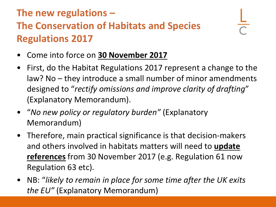#### **The new regulations – The Conservation of Habitats and Species Regulations 2017**

- Come into force on **30 November 2017**
- First, do the Habitat Regulations 2017 represent a change to the law? No – they introduce a small number of minor amendments designed to "*rectify omissions and improve clarity of drafting*" (Explanatory Memorandum).
- "*No new policy or regulatory burden"* (Explanatory Memorandum)
- Therefore, main practical significance is that decision-makers and others involved in habitats matters will need to **update references** from 30 November 2017 (e.g. Regulation 61 now Regulation 63 etc).
- NB: "*likely to remain in place for some time after the UK exits the EU"* (Explanatory Memorandum)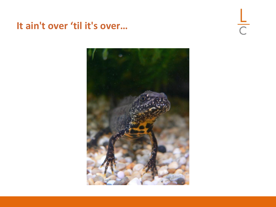#### **It ain't over 'til it's over…**

 $rac{L}{C}$ 

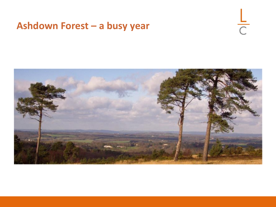#### **Ashdown Forest – a busy year**



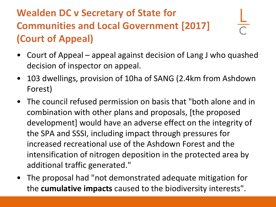- Court of Appeal appeal against decision of Lang J who quashed decision of inspector on appeal.
- 103 dwellings, provision of 10ha of SANG (2.4km from Ashdown Forest)
- The council refused permission on basis that "both alone and in combination with other plans and proposals, [the proposed development] would have an adverse effect on the integrity of the SPA and SSSI, including impact through pressures for increased recreational use of the Ashdown Forest and the intensification of nitrogen deposition in the protected area by additional traffic generated."
- The proposal had "not demonstrated adequate mitigation for the **cumulative impacts** caused to the biodiversity interests".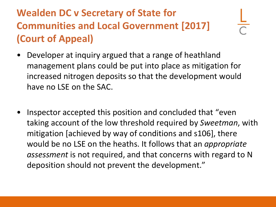- Developer at inquiry argued that a range of heathland management plans could be put into place as mitigation for increased nitrogen deposits so that the development would have no LSE on the SAC.
- Inspector accepted this position and concluded that "even taking account of the low threshold required by *Sweetman*, with mitigation [achieved by way of conditions and s106], there would be no LSE on the heaths. It follows that an *appropriate assessment* is not required, and that concerns with regard to N deposition should not prevent the development."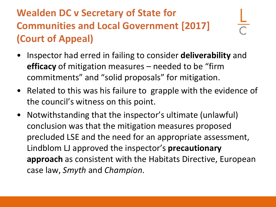- Inspector had erred in failing to consider **deliverability** and **efficacy** of mitigation measures – needed to be "firm commitments" and "solid proposals" for mitigation.
- Related to this was his failure to grapple with the evidence of the council's witness on this point.
- Notwithstanding that the inspector's ultimate (unlawful) conclusion was that the mitigation measures proposed precluded LSE and the need for an appropriate assessment, Lindblom LJ approved the inspector's **precautionary approach** as consistent with the Habitats Directive, European case law, *Smyth* and *Champion*.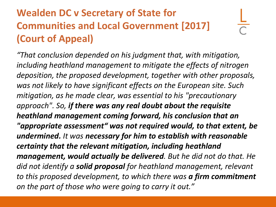*"That conclusion depended on his judgment that, with mitigation, including heathland management to mitigate the effects of nitrogen deposition, the proposed development, together with other proposals, was not likely to have significant effects on the European site. Such mitigation, as he made clear, was essential to his "precautionary approach". So, if there was any real doubt about the requisite heathland management coming forward, his conclusion that an "appropriate assessment" was not required would, to that extent, be* 

*undermined. It was necessary for him to establish with reasonable certainty that the relevant mitigation, including heathland management, would actually be delivered. But he did not do that. He did not identify a solid proposal for heathland management, relevant to this proposed development, to which there was a firm commitment on the part of those who were going to carry it out."*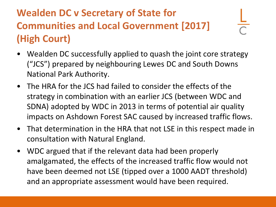- Wealden DC successfully applied to quash the joint core strategy ("JCS") prepared by neighbouring Lewes DC and South Downs National Park Authority.
- The HRA for the JCS had failed to consider the effects of the strategy in combination with an earlier JCS (between WDC and SDNA) adopted by WDC in 2013 in terms of potential air quality impacts on Ashdown Forest SAC caused by increased traffic flows.
- That determination in the HRA that not LSE in this respect made in consultation with Natural England.
- WDC argued that if the relevant data had been properly amalgamated, the effects of the increased traffic flow would not have been deemed not LSE (tipped over a 1000 AADT threshold) and an appropriate assessment would have been required.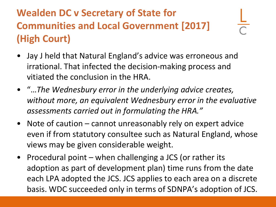- Jay J held that Natural England's advice was erroneous and irrational. That infected the decision-making process and vitiated the conclusion in the HRA.
- "…*The Wednesbury error in the underlying advice creates, without more, an equivalent Wednesbury error in the evaluative assessments carried out in formulating the HRA."*
- Note of caution cannot unreasonably rely on expert advice even if from statutory consultee such as Natural England, whose views may be given considerable weight.
- Procedural point when challenging a JCS (or rather its adoption as part of development plan) time runs from the date each LPA adopted the JCS. JCS applies to each area on a discrete basis. WDC succeeded only in terms of SDNPA's adoption of JCS.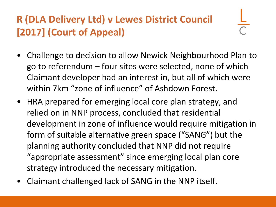## **R (DLA Delivery Ltd) v Lewes District Council [2017] (Court of Appeal)**

- Challenge to decision to allow Newick Neighbourhood Plan to go to referendum – four sites were selected, none of which Claimant developer had an interest in, but all of which were within 7km "zone of influence" of Ashdown Forest.
- HRA prepared for emerging local core plan strategy, and relied on in NNP process, concluded that residential development in zone of influence would require mitigation in form of suitable alternative green space ("SANG") but the planning authority concluded that NNP did not require "appropriate assessment" since emerging local plan core strategy introduced the necessary mitigation.
- Claimant challenged lack of SANG in the NNP itself.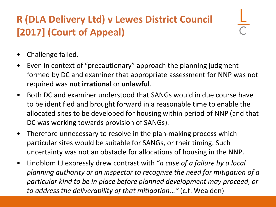## **R (DLA Delivery Ltd) v Lewes District Council [2017] (Court of Appeal)**

- Challenge failed.
- Even in context of "precautionary" approach the planning judgment formed by DC and examiner that appropriate assessment for NNP was not required was **not irrational** or **unlawful**.
- Both DC and examiner understood that SANGs would in due course have to be identified and brought forward in a reasonable time to enable the allocated sites to be developed for housing within period of NNP (and that DC was working towards provision of SANGs).
- Therefore unnecessary to resolve in the plan-making process which particular sites would be suitable for SANGs, or their timing. Such uncertainty was not an obstacle for allocations of housing in the NNP.
- Lindblom LJ expressly drew contrast with "*a case of a failure by a local planning authority or an inspector to recognise the need for mitigation of a particular kind to be in place before planned development may proceed, or to address the deliverability of that mitigation..."* (c.f. Wealden)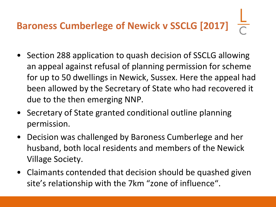# **Baroness Cumberlege of Newick v SSCLG [2017]**

- Section 288 application to quash decision of SSCLG allowing an appeal against refusal of planning permission for scheme for up to 50 dwellings in Newick, Sussex. Here the appeal had been allowed by the Secretary of State who had recovered it due to the then emerging NNP.
- Secretary of State granted conditional outline planning permission.
- Decision was challenged by Baroness Cumberlege and her husband, both local residents and members of the Newick Village Society.
- Claimants contended that decision should be quashed given site's relationship with the 7km "zone of influence".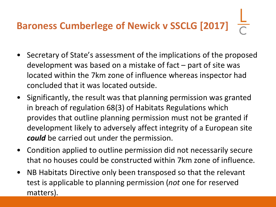## **Baroness Cumberlege of Newick v SSCLG [2017]**

- Secretary of State's assessment of the implications of the proposed development was based on a mistake of fact – part of site was located within the 7km zone of influence whereas inspector had concluded that it was located outside.
- Significantly, the result was that planning permission was granted in breach of regulation 68(3) of Habitats Regulations which provides that outline planning permission must not be granted if development likely to adversely affect integrity of a European site *could* be carried out under the permission.
- Condition applied to outline permission did not necessarily secure that no houses could be constructed within 7km zone of influence.
- NB Habitats Directive only been transposed so that the relevant test is applicable to planning permission (*not* one for reserved matters).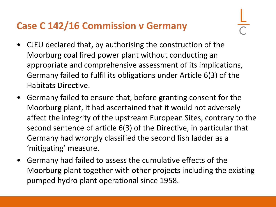#### **Case C 142/16 Commission v Germany**

- CJEU declared that, by authorising the construction of the Moorburg coal fired power plant without conducting an appropriate and comprehensive assessment of its implications, Germany failed to fulfil its obligations under Article 6(3) of the Habitats Directive.
- Germany failed to ensure that, before granting consent for the Moorburg plant, it had ascertained that it would not adversely affect the integrity of the upstream European Sites, contrary to the second sentence of article 6(3) of the Directive, in particular that Germany had wrongly classified the second fish ladder as a 'mitigating' measure.
- Germany had failed to assess the cumulative effects of the Moorburg plant together with other projects including the existing pumped hydro plant operational since 1958.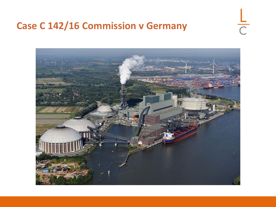#### **Case C 142/16 Commission v Germany**



 $\overline{C}$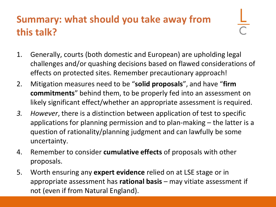#### **Summary: what should you take away from this talk?**

- 
- 1. Generally, courts (both domestic and European) are upholding legal challenges and/or quashing decisions based on flawed considerations of effects on protected sites. Remember precautionary approach!
- 2. Mitigation measures need to be "**solid proposals**", and have "**firm commitments**" behind them, to be properly fed into an assessment on likely significant effect/whether an appropriate assessment is required.
- *3. However*, there is a distinction between application of test to specific applications for planning permission and to plan-making – the latter is a question of rationality/planning judgment and can lawfully be some uncertainty.
- 4. Remember to consider **cumulative effects** of proposals with other proposals.
- 5. Worth ensuring any **expert evidence** relied on at LSE stage or in appropriate assessment has **rational basis** – may vitiate assessment if not (even if from Natural England).